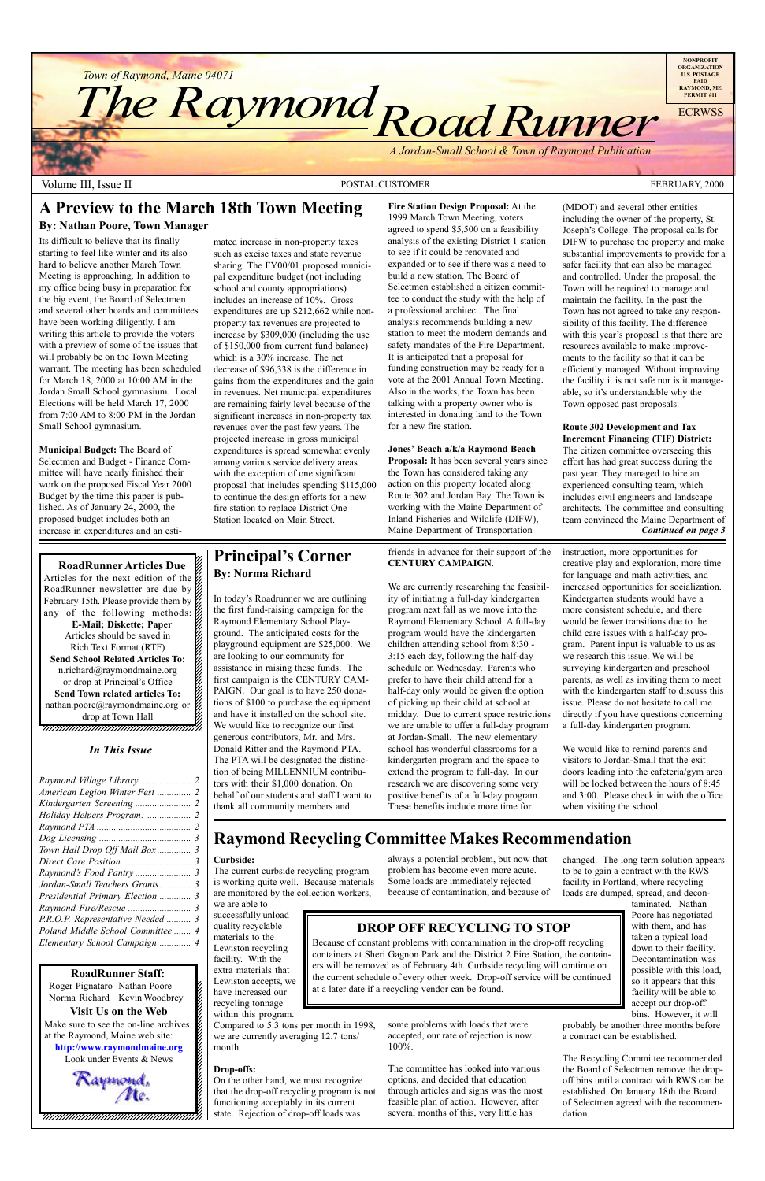*Town of Raymond, Maine 04071*

*Road Runner Town of Raymond, Maine 04071*<br>The Raymond Raymond

Volume III, Issue II **POSTAL CUSTOMER** FEBRUARY, 2000

*A Jordan-Small School & Town of Raymond Publication*

**RoadRunner Articles Due** Articles for the next edition of the  $\%$  $\blacksquare$ RoadRunner newsletter are due by  $\%$ February 15th. Please provide them by  $\cancel{\sim}$ any of the following methods:  $\mathscr{L}$ **E-Mail; Diskette; Paper** 12345678901234567890123456789012123456789012345678 Articles should be saved in  $\mathscr{L}$ 12345678901234567890123456789012123456789012345678 Rich Text Format (RTF) **Send School Related Articles To:**  $\blacksquare$ n.richard@raymondmaine.org  $\%$ or drop at Principal's Office  $\mathscr{L}$ 12345678901234567890123456789012123456789012345678 **Send Town related articles To:** nathan.poore@raymondmaine.org or  $\mathscr{D}$ 12345678901234567890123456789012123456789012345678 drop at Town Hall  $\mathscr{L}$ 12345678901234567890123456789012123456789012345678 12345678901234567890123456789012123456789012345678 12345678901234567890123456789012123456789012345678

 $18.8$  8  $\pm$  8  $\pm$  8  $\pm$  8  $\pm$  8  $\pm$  8  $\pm$  8  $\pm$  8  $\pm$  8  $\pm$  8  $\pm$  8  $\pm$  8  $\pm$  8  $\pm$  8  $\pm$  8  $\pm$  8  $\pm$  8  $\pm$  8  $\pm$  8  $\pm$  8  $\pm$  8  $\pm$  8  $\pm$  8  $\pm$  8  $\pm$  8  $\pm$  8  $\pm$  8  $\pm$  8  $\pm$  8  $\pm$  8  $\pm$  8  $\$ 12345678901234567890123456789012123456789012345678 12345678901234567890123456789012123456789012345678 12345678901234567890123456789012123456789012345678

### 12345678901234567890123456789012345678901234567890123456789012345678901234567890123456789012345678901234567890 **RoadRunner Staff:**

Roger Pignataro Nathan Poore & Norma Richard Kevin Woodbrey  $18.8$ **Visit Us on the Web** 12345678901234567890123456789012123456789012345678 Make sure to see the on-line archives  $\%$ at the Raymond, Maine web site:  $\&$ 12345678901234567890123456789012123456789012345678 **http://www.raymondmaine.org** 

Look under Events  $&$  News

### 12345678901234567890123456789012123456789012345678 12345678901234567890123456789012123456789012345678 **Principal's Corner By: Norma Richard**

In today's Roadrunner we are outlining the first fund-raising campaign for the Raymond Elementary School Playground. The anticipated costs for the playground equipment are \$25,000. We are looking to our community for assistance in raising these funds. The first campaign is the CENTURY CAM-PAIGN. Our goal is to have 250 donations of \$100 to purchase the equipment and have it installed on the school site. We would like to recognize our first generous contributors, Mr. and Mrs. Donald Ritter and the Raymond PTA. The PTA will be designated the distinction of being MILLENNIUM contributors with their \$1,000 donation. On behalf of our students and staff I want to thank all community members and



**ECRWSS** 

# **A Preview to the March 18th Town Meeting**

## **By: Nathan Poore, Town Manager**

friends in advance for their support of the **CENTURY CAMPAIGN**.

We are currently researching the feasibility of initiating a full-day kindergarten program next fall as we move into the Raymond Elementary School. A full-day program would have the kindergarten children attending school from 8:30 - 3:15 each day, following the half-day schedule on Wednesday. Parents who prefer to have their child attend for a half-day only would be given the option of picking up their child at school at midday. Due to current space restrictions we are unable to offer a full-day program at Jordan-Small. The new elementary school has wonderful classrooms for a kindergarten program and the space to extend the program to full-day. In our research we are discovering some very positive benefits of a full-day program. These benefits include more time for

instruction, more opportunities for creative play and exploration, more time

for language and math activities, and increased opportunities for socialization. Kindergarten students would have a more consistent schedule, and there would be fewer transitions due to the child care issues with a half-day program. Parent input is valuable to us as we research this issue. We will be surveying kindergarten and preschool parents, as well as inviting them to meet with the kindergarten staff to discuss this issue. Please do not hesitate to call me directly if you have questions concerning a full-day kindergarten program.

We would like to remind parents and visitors to Jordan-Small that the exit doors leading into the cafeteria/gym area will be locked between the hours of 8:45 and 3:00. Please check in with the office when visiting the school.

# **Raymond Recycling Committee Makes Recommendation**

## **Curbside:**

The current curbside recycling program is working quite well. Because materials are monitored by the collection workers, we are able to

successfully unload quality recyclable materials to the Lewiston recycling facility. With the extra materials that Lewiston accepts, we have increased our recycling tonnage within this program.

Compared to 5.3 tons per month in 1998, we are currently averaging 12.7 tons/ month.

### **Drop-offs:**

On the other hand, we must recognize that the drop-off recycling program is not functioning acceptably in its current state. Rejection of drop-off loads was

*Continued on page 3* **Route 302 Development and Tax Increment Financing (TIF) District:** The citizen committee overseeing this effort has had great success during the past year. They managed to hire an experienced consulting team, which includes civil engineers and landscape architects. The committee and consulting team convinced the Maine Department of

### always a potential problem, but now that

problem has become even more acute. Some loads are immediately rejected because of contamination, and because of

some problems with loads that were accepted, our rate of rejection is now 100%.

The committee has looked into various options, and decided that education through articles and signs was the most feasible plan of action. However, after several months of this, very little has

changed. The long term solution appears

to be to gain a contract with the RWS facility in Portland, where recycling loads are dumped, spread, and decon-

### taminated. Nathan Poore has negotiated with them, and has taken a typical load down to their facility. Decontamination was possible with this load, so it appears that this facility will be able to accept our drop-off bins. However, it will

probably be another three months before a contract can be established.

The Recycling Committee recommended the Board of Selectmen remove the dropoff bins until a contract with RWS can be established. On January 18th the Board of Selectmen agreed with the recommendation.

Its difficult to believe that its finally starting to feel like winter and its also hard to believe another March Town Meeting is approaching. In addition to my office being busy in preparation for the big event, the Board of Selectmen and several other boards and committees have been working diligently. I am writing this article to provide the voters with a preview of some of the issues that will probably be on the Town Meeting warrant. The meeting has been scheduled for March 18, 2000 at 10:00 AM in the Jordan Small School gymnasium. Local Elections will be held March 17, 2000 from 7:00 AM to 8:00 PM in the Jordan Small School gymnasium.

**Municipal Budget:** The Board of Selectmen and Budget - Finance Committee will have nearly finished their work on the proposed Fiscal Year 2000 Budget by the time this paper is published. As of January 24, 2000, the proposed budget includes both an increase in expenditures and an esti-

(MDOT) and several other entities including the owner of the property, St. Joseph's College. The proposal calls for DIFW to purchase the property and make substantial improvements to provide for a safer facility that can also be managed and controlled. Under the proposal, the Town will be required to manage and maintain the facility. In the past the Town has not agreed to take any responsibility of this facility. The difference with this year's proposal is that there are resources available to make improvements to the facility so that it can be efficiently managed. Without improving the facility it is not safe nor is it manageable, so it's understandable why the Town opposed past proposals.

**Fire Station Design Proposal:** At the 1999 March Town Meeting, voters agreed to spend \$5,500 on a feasibility analysis of the existing District 1 station to see if it could be renovated and expanded or to see if there was a need to build a new station. The Board of Selectmen established a citizen committee to conduct the study with the help of a professional architect. The final analysis recommends building a new station to meet the modern demands and safety mandates of the Fire Department. It is anticipated that a proposal for funding construction may be ready for a vote at the 2001 Annual Town Meeting. Also in the works, the Town has been talking with a property owner who is interested in donating land to the Town for a new fire station.

### **Jonesí Beach a/k/a Raymond Beach**

**Proposal:** It has been several years since the Town has considered taking any action on this property located along Route 302 and Jordan Bay. The Town is working with the Maine Department of Inland Fisheries and Wildlife (DIFW), Maine Department of Transportation

mated increase in non-property taxes such as excise taxes and state revenue sharing. The FY00/01 proposed municipal expenditure budget (not including school and county appropriations) includes an increase of 10%. Gross expenditures are up \$212,662 while nonproperty tax revenues are projected to increase by \$309,000 (including the use of \$150,000 from current fund balance) which is a 30% increase. The net decrease of \$96,338 is the difference in gains from the expenditures and the gain in revenues. Net municipal expenditures are remaining fairly level because of the significant increases in non-property tax revenues over the past few years. The projected increase in gross municipal expenditures is spread somewhat evenly among various service delivery areas with the exception of one significant proposal that includes spending \$115,000 to continue the design efforts for a new fire station to replace District One Station located on Main Street.

### *In This Issue*

| American Legion Winter Fest  2    |  |
|-----------------------------------|--|
|                                   |  |
| Holiday Helpers Program:  2       |  |
|                                   |  |
|                                   |  |
| Town Hall Drop Off Mail Box 3     |  |
|                                   |  |
|                                   |  |
| Jordan-Small Teachers Grants 3    |  |
| Presidential Primary Election  3  |  |
|                                   |  |
| P.R.O.P. Representative Needed  3 |  |
| Poland Middle School Committee  4 |  |
| Elementary School Campaign  4     |  |
|                                   |  |

**DROP OFF RECYCLING TO STOP** Because of constant problems with contamination in the drop-off recycling containers at Sheri Gagnon Park and the District 2 Fire Station, the containers will be removed as of February 4th. Curbside recycling will continue on the current schedule of every other week. Drop-off service will be continued

at a later date if a recycling vendor can be found.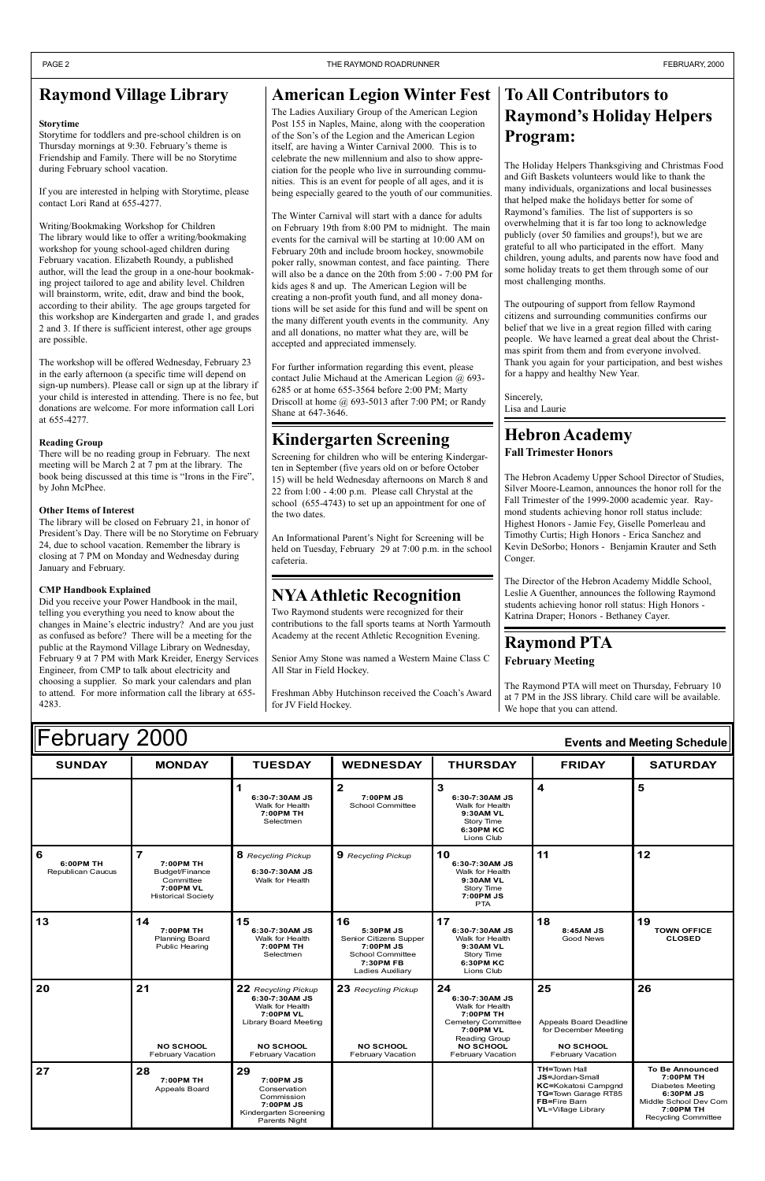### $\blacksquare$  **NONDAY**  $\blacksquare$  TUESDAY  $\blacksquare$  WEDNESDAY  $\blacksquare$  THURSDAY  $\blacksquare$  FRIDAY  $\blacksquare$  SATURDAY **1 6:30-7:30AM JS** Walk for Health **7:00PM TH** Selectmen **2 7:00PM JS** School Committee **3 6:30-7:30AM JS** Walk for Health **9:30AM VL** Story Time **6:30PM KC** Lions Club **4 5 6 7 7:00PM TH 8** *Recycling Pickup* **9** *Recycling Pickup* **10 6:30-7:30AM JS 11** 12 February 2000 **Events and Meeting Schedule**

| 6:00PM TH<br><b>Republican Caucus</b> | 7:00PM TH<br>Budget/Finance<br>Committee<br>7:00PM VL<br><b>Historical Society</b> | 6:30-7:30AM JS<br>Walk for Health                                                                                                       |                                                                                                                           | 6:30-7:30AM JS<br>Walk for Health<br>9:30AM VL<br>Story Time<br>7:00PM JS<br><b>PTA</b>                                                                  |                                                                                                                                                        |                                                                                                                                          |
|---------------------------------------|------------------------------------------------------------------------------------|-----------------------------------------------------------------------------------------------------------------------------------------|---------------------------------------------------------------------------------------------------------------------------|----------------------------------------------------------------------------------------------------------------------------------------------------------|--------------------------------------------------------------------------------------------------------------------------------------------------------|------------------------------------------------------------------------------------------------------------------------------------------|
| 13                                    | 14<br>7:00PM TH<br><b>Planning Board</b><br><b>Public Hearing</b>                  | 15<br>6:30-7:30AM JS<br>Walk for Health<br>7:00PM TH<br>Selectmen                                                                       | 16<br>5:30PM JS<br>Senior Citizens Supper<br>7:00PM JS<br><b>School Committee</b><br>7:30PM FB<br><b>Ladies Auxiliary</b> | 17<br>6:30-7:30AM JS<br>Walk for Health<br>9:30AM VL<br>Story Time<br>6:30PM KC<br>Lions Club                                                            | 18<br>8:45AM JS<br>Good News                                                                                                                           | 19<br><b>TOWN OFFICE</b><br><b>CLOSED</b>                                                                                                |
| 20                                    | 21<br><b>NO SCHOOL</b><br>February Vacation                                        | 22 Recycling Pickup<br>6:30-7:30AM JS<br>Walk for Health<br>7:00PM VL<br>Library Board Meeting<br><b>NO SCHOOL</b><br>February Vacation | 23 Recycling Pickup<br><b>NO SCHOOL</b><br>February Vacation                                                              | 24<br>6:30-7:30AM JS<br>Walk for Health<br>7:00PM TH<br>Cemetery Committee<br>7:00PM VL<br><b>Reading Group</b><br><b>NO SCHOOL</b><br>February Vacation | 25<br>Appeals Board Deadline<br>for December Meeting<br><b>NO SCHOOL</b><br>February Vacation                                                          | 26                                                                                                                                       |
| 27                                    | 28<br>7:00PM TH<br>Appeals Board                                                   | 29<br>7:00PM JS<br>Conservation<br>Commission<br>7:00PM JS<br>Kindergarten Screening<br>Parents Night                                   |                                                                                                                           |                                                                                                                                                          | <b>TH=Town Hall</b><br>JS=Jordan-Small<br><b>KC=Kokatosi Campgnd</b><br><b>TG=Town Garage RT85</b><br><b>FB=Fire Barn</b><br><b>VL=Village Library</b> | <b>To Be Announced</b><br>7:00PM TH<br>Diabetes Meeting<br>6:30PM JS<br>Middle School Dev Com<br>7:00PM TH<br><b>Recycling Committee</b> |

## **Raymond Village Library**

### **Storytime**

Storytime for toddlers and pre-school children is on Thursday mornings at 9:30. February's theme is Friendship and Family. There will be no Storytime during February school vacation.

If you are interested in helping with Storytime, please contact Lori Rand at 655-4277.

Writing/Bookmaking Workshop for Children The library would like to offer a writing/bookmaking workshop for young school-aged children during February vacation. Elizabeth Roundy, a published author, will the lead the group in a one-hour bookmaking project tailored to age and ability level. Children will brainstorm, write, edit, draw and bind the book, according to their ability. The age groups targeted for this workshop are Kindergarten and grade 1, and grades 2 and 3. If there is sufficient interest, other age groups are possible.

The workshop will be offered Wednesday, February 23 in the early afternoon (a specific time will depend on sign-up numbers). Please call or sign up at the library if your child is interested in attending. There is no fee, but donations are welcome. For more information call Lori at 655-4277.

### **Reading Group**

There will be no reading group in February. The next meeting will be March 2 at 7 pm at the library. The book being discussed at this time is "Irons in the Fire", by John McPhee.

### **Other Items of Interest**

The library will be closed on February 21, in honor of President's Day. There will be no Storytime on February 24, due to school vacation. Remember the library is closing at 7 PM on Monday and Wednesday during January and February.

An Informational Parent's Night for Screening will be held on Tuesday, February 29 at 7:00 p.m. in the school cafeteria.

### **CMP Handbook Explained**

Did you receive your Power Handbook in the mail, telling you everything you need to know about the changes in Maine's electric industry? And are you just as confused as before? There will be a meeting for the public at the Raymond Village Library on Wednesday, February 9 at 7 PM with Mark Kreider, Energy Services Engineer, from CMP to talk about electricity and choosing a supplier. So mark your calendars and plan to attend. For more information call the library at 655- 4283.

Freshman Abby Hutchinson received the Coach's Award for JV Field Hockey.

# **To All Contributors to Raymond's Holiday Helpers Program:**

The Holiday Helpers Thanksgiving and Christmas Food and Gift Baskets volunteers would like to thank the many individuals, organizations and local businesses that helped make the holidays better for some of Raymond's families. The list of supporters is so overwhelming that it is far too long to acknowledge publicly (over 50 families and groups!), but we are grateful to all who participated in the effort. Many children, young adults, and parents now have food and some holiday treats to get them through some of our most challenging months.

The outpouring of support from fellow Raymond citizens and surrounding communities confirms our belief that we live in a great region filled with caring people. We have learned a great deal about the Christmas spirit from them and from everyone involved. Thank you again for your participation, and best wishes for a happy and healthy New Year.

Sincerely, Lisa and Laurie

## **American Legion Winter Fest**

The Ladies Auxiliary Group of the American Legion Post 155 in Naples, Maine, along with the cooperation of the Son's of the Legion and the American Legion itself, are having a Winter Carnival 2000. This is to celebrate the new millennium and also to show appreciation for the people who live in surrounding communities. This is an event for people of all ages, and it is being especially geared to the youth of our communities.

The Winter Carnival will start with a dance for adults on February 19th from 8:00 PM to midnight. The main events for the carnival will be starting at 10:00 AM on February 20th and include broom hockey, snowmobile poker rally, snowman contest, and face painting. There will also be a dance on the 20th from 5:00 - 7:00 PM for kids ages 8 and up. The American Legion will be creating a non-profit youth fund, and all money donations will be set aside for this fund and will be spent on the many different youth events in the community. Any and all donations, no matter what they are, will be accepted and appreciated immensely.

For further information regarding this event, please contact Julie Michaud at the American Legion @ 693-6285 or at home 655-3564 before 2:00 PM; Marty Driscoll at home @ 693-5013 after 7:00 PM; or Randy Shane at 647-3646.

## **Kindergarten Screening**

Screening for children who will be entering Kindergarten in September (five years old on or before October 15) will be held Wednesday afternoons on March 8 and 22 from l:00 - 4:00 p.m. Please call Chrystal at the school (655-4743) to set up an appointment for one of the two dates.

## **Raymond PTA February Meeting**

The Raymond PTA will meet on Thursday, February 10 at 7 PM in the JSS library. Child care will be available. We hope that you can attend.

## **Hebron Academy Fall Trimester Honors**

The Hebron Academy Upper School Director of Studies, Silver Moore-Leamon, announces the honor roll for the Fall Trimester of the 1999-2000 academic year. Raymond students achieving honor roll status include: Highest Honors - Jamie Fey, Giselle Pomerleau and Timothy Curtis; High Honors - Erica Sanchez and Kevin DeSorbo; Honors - Benjamin Krauter and Seth Conger.

The Director of the Hebron Academy Middle School, Leslie A Guenther, announces the following Raymond students achieving honor roll status: High Honors - Katrina Draper; Honors - Bethaney Cayer.

# **NYA Athletic Recognition**

Two Raymond students were recognized for their contributions to the fall sports teams at North Yarmouth Academy at the recent Athletic Recognition Evening.

Senior Amy Stone was named a Western Maine Class C All Star in Field Hockey.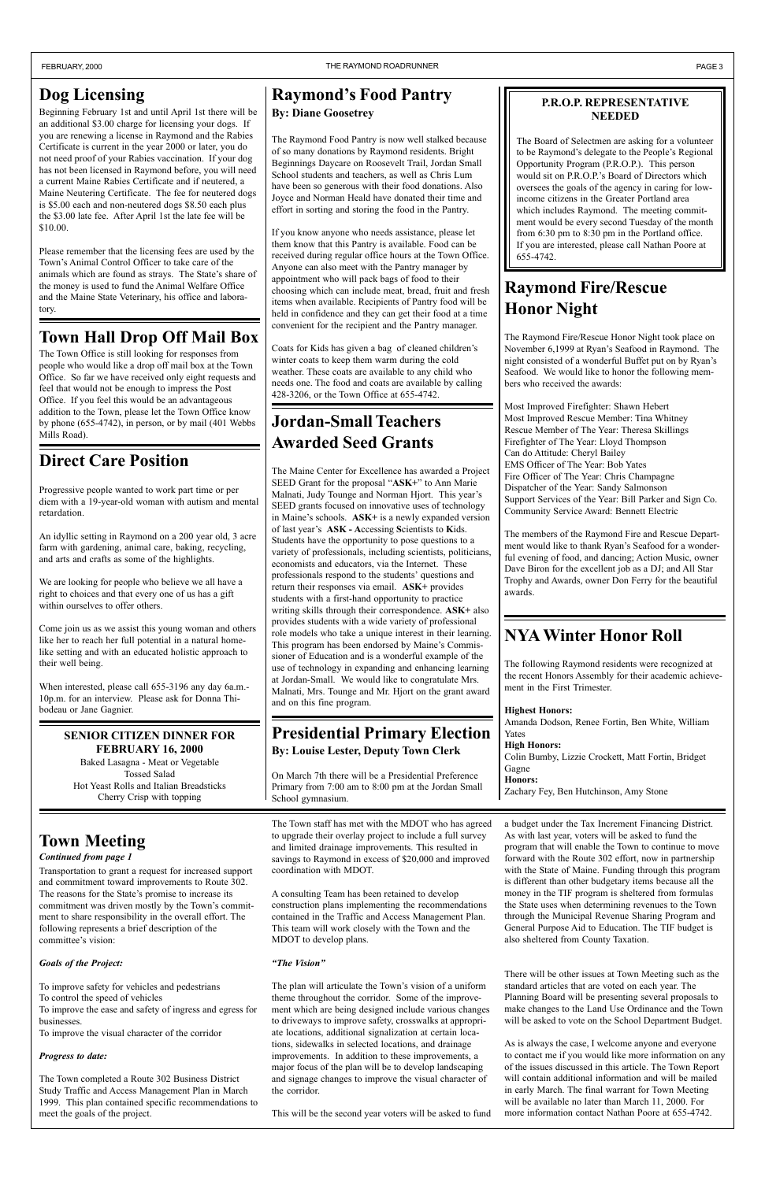*Continued from page 1* Transportation to grant a request for increased support and commitment toward improvements to Route 302. The reasons for the State's promise to increase its commitment was driven mostly by the Town's commitment to share responsibility in the overall effort. The following represents a brief description of the committee's vision:

# **Raymond's Food Pantry**

# **Town Meeting**

## **SENIOR CITIZEN DINNER FOR FEBRUARY 16, 2000**

Baked Lasagna - Meat or Vegetable Tossed Salad Hot Yeast Rolls and Italian Breadsticks Cherry Crisp with topping

## **Dog Licensing**

Beginning February 1st and until April 1st there will be an additional \$3.00 charge for licensing your dogs. If you are renewing a license in Raymond and the Rabies Certificate is current in the year 2000 or later, you do not need proof of your Rabies vaccination. If your dog has not been licensed in Raymond before, you will need a current Maine Rabies Certificate and if neutered, a Maine Neutering Certificate. The fee for neutered dogs is \$5.00 each and non-neutered dogs \$8.50 each plus the \$3.00 late fee. After April 1st the late fee will be \$10.00.

Please remember that the licensing fees are used by the Town's Animal Control Officer to take care of the animals which are found as strays. The State's share of the money is used to fund the Animal Welfare Office and the Maine State Veterinary, his office and laboratory.

# **Town Hall Drop Off Mail Box**

The Town Office is still looking for responses from people who would like a drop off mail box at the Town Office. So far we have received only eight requests and feel that would not be enough to impress the Post Office. If you feel this would be an advantageous addition to the Town, please let the Town Office know by phone (655-4742), in person, or by mail (401 Webbs Mills Road).

Coats for Kids has given a bag of cleaned children's winter coats to keep them warm during the cold weather. These coats are available to any child who needs one. The food and coats are available by calling 428-3206, or the Town Office at 655-4742.

## **Presidential Primary Election By: Louise Lester, Deputy Town Clerk**

On March 7th there will be a Presidential Preference Primary from 7:00 am to 8:00 pm at the Jordan Small School gymnasium.

## **By: Diane Goosetrey**

The Raymond Food Pantry is now well stalked because of so many donations by Raymond residents. Bright Beginnings Daycare on Roosevelt Trail, Jordan Small School students and teachers, as well as Chris Lum have been so generous with their food donations. Also Joyce and Norman Heald have donated their time and effort in sorting and storing the food in the Pantry.

If you know anyone who needs assistance, please let them know that this Pantry is available. Food can be received during regular office hours at the Town Office. Anyone can also meet with the Pantry manager by appointment who will pack bags of food to their choosing which can include meat, bread, fruit and fresh items when available. Recipients of Pantry food will be held in confidence and they can get their food at a time convenient for the recipient and the Pantry manager.

## **P.R.O.P. REPRESENTATIVE NEEDED**

The Board of Selectmen are asking for a volunteer to be Raymond's delegate to the People's Regional Opportunity Program (P.R.O.P.). This person would sit on P.R.O.P.'s Board of Directors which oversees the goals of the agency in caring for lowincome citizens in the Greater Portland area which includes Raymond. The meeting commitment would be every second Tuesday of the month from 6:30 pm to 8:30 pm in the Portland office. If you are interested, please call Nathan Poore at 655-4742.

# **Jordan-Small Teachers Awarded Seed Grants**

The plan will articulate the Town's vision of a uniform theme throughout the corridor. Some of the improvement which are being designed include various changes to driveways to improve safety, crosswalks at appropriate locations, additional signalization at certain locations, sidewalks in selected locations, and drainage improvements. In addition to these improvements, a major focus of the plan will be to develop landscaping and signage changes to improve the visual character of the corridor.

The Maine Center for Excellence has awarded a Project SEED Grant for the proposal "ASK+" to Ann Marie Malnati, Judy Tounge and Norman Hjort. This year's SEED grants focused on innovative uses of technology in Maine's schools. ASK+ is a newly expanded version of last yearís **ASK - A**ccessing **S**cientists to **K**ids. Students have the opportunity to pose questions to a variety of professionals, including scientists, politicians, economists and educators, via the Internet. These professionals respond to the students' questions and return their responses via email. **ASK+** provides students with a first-hand opportunity to practice writing skills through their correspondence. **ASK+** also provides students with a wide variety of professional role models who take a unique interest in their learning. This program has been endorsed by Maine's Commissioner of Education and is a wonderful example of the use of technology in expanding and enhancing learning at Jordan-Small. We would like to congratulate Mrs. Malnati, Mrs. Tounge and Mr. Hjort on the grant award and on this fine program.

# **Raymond Fire/Rescue Honor Night**

The Raymond Fire/Rescue Honor Night took place on November 6,1999 at Ryan's Seafood in Raymond. The night consisted of a wonderful Buffet put on by Ryan's Seafood. We would like to honor the following members who received the awards:

Most Improved Firefighter: Shawn Hebert Most Improved Rescue Member: Tina Whitney Rescue Member of The Year: Theresa Skillings Firefighter of The Year: Lloyd Thompson Can do Attitude: Cheryl Bailey EMS Officer of The Year: Bob Yates Fire Officer of The Year: Chris Champagne Dispatcher of the Year: Sandy Salmonson Support Services of the Year: Bill Parker and Sign Co. Community Service Award: Bennett Electric

The members of the Raymond Fire and Rescue Department would like to thank Ryan's Seafood for a wonderful evening of food, and dancing; Action Music, owner Dave Biron for the excellent job as a DJ; and All Star Trophy and Awards, owner Don Ferry for the beautiful awards.

### *Goals of the Project:*

To improve safety for vehicles and pedestrians To control the speed of vehicles To improve the ease and safety of ingress and egress for businesses.

To improve the visual character of the corridor

### *Progress to date:*

The Town completed a Route 302 Business District Study Traffic and Access Management Plan in March 1999. This plan contained specific recommendations to meet the goals of the project.

The Town staff has met with the MDOT who has agreed to upgrade their overlay project to include a full survey and limited drainage improvements. This resulted in savings to Raymond in excess of \$20,000 and improved

coordination with MDOT.

A consulting Team has been retained to develop construction plans implementing the recommendations contained in the Traffic and Access Management Plan. This team will work closely with the Town and the MDOT to develop plans.

### *ìThe Visionî*

This will be the second year voters will be asked to fund

a budget under the Tax Increment Financing District. As with last year, voters will be asked to fund the program that will enable the Town to continue to move forward with the Route 302 effort, now in partnership with the State of Maine. Funding through this program is different than other budgetary items because all the money in the TIF program is sheltered from formulas the State uses when determining revenues to the Town through the Municipal Revenue Sharing Program and General Purpose Aid to Education. The TIF budget is also sheltered from County Taxation.

There will be other issues at Town Meeting such as the standard articles that are voted on each year. The Planning Board will be presenting several proposals to make changes to the Land Use Ordinance and the Town will be asked to vote on the School Department Budget.

As is always the case, I welcome anyone and everyone to contact me if you would like more information on any of the issues discussed in this article. The Town Report will contain additional information and will be mailed in early March. The final warrant for Town Meeting will be available no later than March 11, 2000. For more information contact Nathan Poore at 655-4742.

# **Direct Care Position**

Progressive people wanted to work part time or per diem with a 19-year-old woman with autism and mental retardation.

An idyllic setting in Raymond on a 200 year old, 3 acre farm with gardening, animal care, baking, recycling, and arts and crafts as some of the highlights.

We are looking for people who believe we all have a right to choices and that every one of us has a gift within ourselves to offer others.

Come join us as we assist this young woman and others like her to reach her full potential in a natural homelike setting and with an educated holistic approach to their well being.

When interested, please call 655-3196 any day 6a.m.- 10p.m. for an interview. Please ask for Donna Thibodeau or Jane Gagnier.

# **NYA Winter Honor Roll**

The following Raymond residents were recognized at the recent Honors Assembly for their academic achievement in the First Trimester.

### **Highest Honors:**

Amanda Dodson, Renee Fortin, Ben White, William Yates

**High Honors:** Colin Bumby, Lizzie Crockett, Matt Fortin, Bridget Gagne **Honors:**

Zachary Fey, Ben Hutchinson, Amy Stone